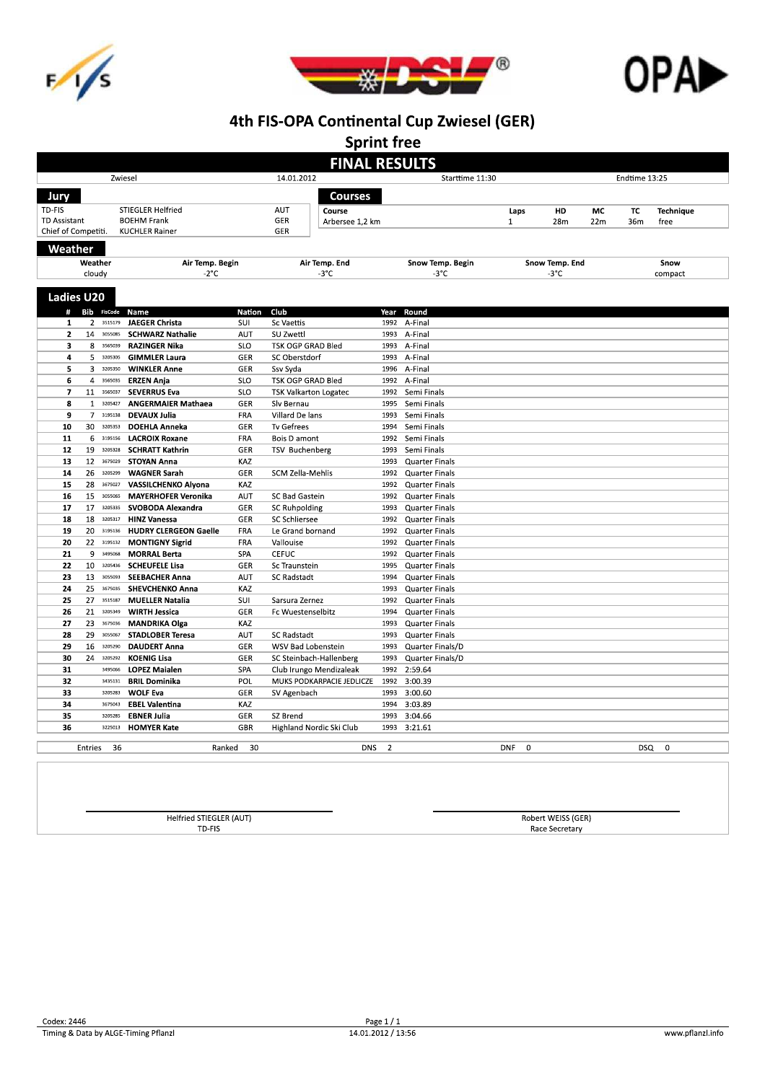





**Sprint free** 

| <b>FINAL RESULTS</b>                                    |                |                    |                                                 |               |                                 |                      |                                                |                        |           |                          |            |               |  |  |
|---------------------------------------------------------|----------------|--------------------|-------------------------------------------------|---------------|---------------------------------|----------------------|------------------------------------------------|------------------------|-----------|--------------------------|------------|---------------|--|--|
|                                                         |                |                    | Zwiesel                                         |               | 14.01.2012<br>Starttime 11:30   |                      |                                                |                        |           |                          |            | Endtime 13:25 |  |  |
| Jury<br>Courses                                         |                |                    |                                                 |               |                                 |                      |                                                |                        |           |                          |            |               |  |  |
| TD-FIS                                                  |                |                    |                                                 |               | <b>AUT</b>                      |                      |                                                |                        |           |                          |            |               |  |  |
| STIEGLER Helfried<br>TD Assistant<br><b>BOEHM Frank</b> |                |                    | Course<br>GER<br>Arbersee 1.2 km                |               |                                 | Laps<br>$\mathbf{1}$ | HD<br>28m                                      | MC<br>22m              | TC<br>36m | <b>Technique</b><br>free |            |               |  |  |
| Chief of Competiti.                                     |                |                    | <b>KUCHLER Rainer</b>                           |               | <b>GER</b>                      |                      |                                                |                        |           |                          |            |               |  |  |
|                                                         |                |                    |                                                 |               |                                 |                      |                                                |                        |           |                          |            |               |  |  |
| Weather                                                 |                |                    |                                                 |               |                                 |                      |                                                |                        |           |                          |            |               |  |  |
|                                                         | Weather        |                    | Air Temp. Begin                                 |               | Air Temp. End<br>$-3^{\circ}$ C |                      | Snow Temp. Begin                               | Snow Temp. End         |           |                          | Snow       |               |  |  |
|                                                         | cloudy         |                    | $-2^{\circ}$ C                                  |               |                                 |                      | -3°C                                           |                        | -3°C      |                          |            | compact       |  |  |
| <b>Ladies U20</b>                                       |                |                    |                                                 |               |                                 |                      |                                                |                        |           |                          |            |               |  |  |
|                                                         |                | # Bib FisCode      | Name                                            | <b>Nation</b> | Club                            | Year                 | Round                                          |                        |           |                          |            |               |  |  |
| 1                                                       | $\overline{2}$ | 3515179            | <b>JAEGER Christa</b>                           | SUI           | <b>Sc Vaettis</b>               | 1992                 | A-Final                                        |                        |           |                          |            |               |  |  |
| $\overline{2}$                                          | 14             | 3055085            | <b>SCHWARZ Nathalie</b>                         | <b>AUT</b>    | SU Zwettl                       | 1993                 | A-Final                                        |                        |           |                          |            |               |  |  |
| 3                                                       | 8              | 3565039            | <b>RAZINGER Nika</b>                            | <b>SLO</b>    | TSK OGP GRAD Bled               | 1993                 | A-Final                                        |                        |           |                          |            |               |  |  |
| 4                                                       | 5              | 3205305            | <b>GIMMLER Laura</b>                            | GER           | SC Oberstdorf                   | 1993                 | A-Final                                        |                        |           |                          |            |               |  |  |
| 5                                                       | 3              | 3205350            | <b>WINKLER Anne</b>                             | GER           | Ssv Syda                        | 1996                 | A-Final                                        |                        |           |                          |            |               |  |  |
| 6                                                       | $\overline{4}$ | 3565035            | <b>ERZEN Anja</b>                               | SLO           | TSK OGP GRAD Bled               | 1992                 | A-Final                                        |                        |           |                          |            |               |  |  |
| $\overline{\phantom{a}}$                                | 11             | 3565037            | <b>SEVERRUS Eva</b>                             | SLO           | <b>TSK Valkarton Logatec</b>    | 1992                 | Semi Finals                                    |                        |           |                          |            |               |  |  |
| 8                                                       |                | 13205427           | <b>ANGERMAIER Mathaea</b>                       | GER           | Slv Bernau                      | 1995                 | Semi Finals                                    |                        |           |                          |            |               |  |  |
| 9                                                       |                | 7 3195138          | <b>DEVAUX Julia</b>                             | FRA           | Villard De lans                 | 1993                 | Semi Finals                                    |                        |           |                          |            |               |  |  |
| 10                                                      | 30             | 3205353            | <b>DOEHLA Anneka</b>                            | GER           | <b>Tv Gefrees</b>               | 1994                 | Semi Finals                                    |                        |           |                          |            |               |  |  |
| 11                                                      |                | 6 3195156          | <b>LACROIX Roxane</b>                           | FRA           | Bois D amont                    | 1992                 | Semi Finals                                    |                        |           |                          |            |               |  |  |
| 12                                                      | 19             | 3205328            | <b>SCHRATT Kathrin</b>                          | GER           | <b>TSV Buchenberg</b>           | 1993                 | Semi Finals                                    |                        |           |                          |            |               |  |  |
| 13                                                      | 12             | 3675029            | <b>STOYAN Anna</b>                              | KAZ           |                                 | 1993                 | <b>Quarter Finals</b>                          |                        |           |                          |            |               |  |  |
| 14                                                      | 26             | 3205299            | <b>WAGNER Sarah</b>                             | GER           | <b>SCM Zella-Mehlis</b>         | 1992                 | <b>Quarter Finals</b>                          |                        |           |                          |            |               |  |  |
| 15                                                      | 28             | 3675027            | <b>VASSILCHENKO Alyona</b>                      | KAZ           |                                 | 1992                 | <b>Quarter Finals</b>                          |                        |           |                          |            |               |  |  |
| 16                                                      | 15             | 3055065            | <b>MAYERHOFER Veronika</b>                      | <b>AUT</b>    | <b>SC Bad Gastein</b>           | 1992                 | <b>Quarter Finals</b>                          |                        |           |                          |            |               |  |  |
| 17                                                      | 17             | 3205335            | SVOBODA Alexandra                               | GER           | <b>SC Ruhpolding</b>            | 1993                 | <b>Quarter Finals</b>                          |                        |           |                          |            |               |  |  |
| 18                                                      | 18             | 3205317            | <b>HINZ Vanessa</b>                             | GER           | <b>SC Schliersee</b>            | 1992                 | <b>Quarter Finals</b>                          |                        |           |                          |            |               |  |  |
| 19                                                      | 20             | 3195136            | <b>HUDRY CLERGEON Gaelle</b>                    | FRA           | Le Grand bornand                | 1992                 | <b>Quarter Finals</b>                          |                        |           |                          |            |               |  |  |
| 20                                                      | 22             | 3195132            | <b>MONTIGNY Sigrid</b>                          | FRA           | Vallouise                       | 1992                 | <b>Quarter Finals</b>                          |                        |           |                          |            |               |  |  |
| 21                                                      | 9              | 3495068            | <b>MORRAL Berta</b>                             | SPA           | <b>CEFUC</b>                    | 1992                 | <b>Quarter Finals</b>                          |                        |           |                          |            |               |  |  |
| 22                                                      | 10             | 3205436<br>3055093 | <b>SCHEUFELE Lisa</b>                           | GER           | Sc Traunstein                   | 1995                 | <b>Quarter Finals</b>                          |                        |           |                          |            |               |  |  |
| 23<br>24                                                | 13<br>25       | 3675035            | <b>SEEBACHER Anna</b><br><b>SHEVCHENKO Anna</b> | AUT<br>KAZ    | <b>SC Radstadt</b>              | 1994<br>1993         | <b>Quarter Finals</b><br><b>Quarter Finals</b> |                        |           |                          |            |               |  |  |
| 25                                                      | 27             | 3515187            | <b>MUELLER Natalia</b>                          | SUI           | Sarsura Zernez                  | 1992                 | <b>Quarter Finals</b>                          |                        |           |                          |            |               |  |  |
| 26                                                      | 21             | 3205349            | <b>WIRTH Jessica</b>                            | GER           | Fc Wuestenselbitz               | 1994                 | <b>Quarter Finals</b>                          |                        |           |                          |            |               |  |  |
| 27                                                      | 23             | 3675036            | <b>MANDRIKA Olga</b>                            | KAZ           |                                 | 1993                 | <b>Quarter Finals</b>                          |                        |           |                          |            |               |  |  |
| 28                                                      | 29             | 3055067            | <b>STADLOBER Teresa</b>                         | <b>AUT</b>    | <b>SC Radstadt</b>              | 1993                 | <b>Quarter Finals</b>                          |                        |           |                          |            |               |  |  |
| 29                                                      |                | 16 3205290         | <b>DAUDERT Anna</b>                             | GER           | WSV Bad Lobenstein              | 1993                 | Quarter Finals/D                               |                        |           |                          |            |               |  |  |
| 30                                                      | 24             | 3205292            | <b>KOENIG Lisa</b>                              | GER           | SC Steinbach-Hallenberg         | 1993                 | Quarter Finals/D                               |                        |           |                          |            |               |  |  |
| 31                                                      |                | 3495066            | <b>LOPEZ Maialen</b>                            | SPA           | Club Irungo Mendizaleak         | 1992                 | 2:59.64                                        |                        |           |                          |            |               |  |  |
| 32                                                      |                | 3435131            | <b>BRIL Dominika</b>                            | POL           | MUKS PODKARPACIE JEDLICZE       | 1992                 | 3:00.39                                        |                        |           |                          |            |               |  |  |
| 33                                                      |                | 3205283            | <b>WOLF Eva</b>                                 | GER           | SV Agenbach                     | 1993                 | 3:00.60                                        |                        |           |                          |            |               |  |  |
| 34                                                      |                | 3675043            | <b>EBEL Valentina</b>                           | KAZ           |                                 | 1994                 | 3:03.89                                        |                        |           |                          |            |               |  |  |
| 35                                                      |                | 3205285            | <b>EBNER Julia</b>                              | GER           | SZ Brend                        | 1993                 | 3:04.66                                        |                        |           |                          |            |               |  |  |
| 36                                                      |                | 3225013            | <b>HOMYER Kate</b>                              | <b>GBR</b>    | Highland Nordic Ski Club        | 1993                 | 3:21.61                                        |                        |           |                          |            |               |  |  |
|                                                         |                |                    |                                                 |               |                                 |                      |                                                |                        |           |                          |            |               |  |  |
|                                                         | Entries        | 36                 | Ranked                                          | 30            | <b>DNS</b>                      | $\overline{2}$       |                                                | <b>DNF</b><br>$\Omega$ |           |                          | <b>DSQ</b> | $\Omega$      |  |  |

Helfried STIEGLER (AUT)<br>TD-FIS

Robert WEISS (GER)<br>Race Secretary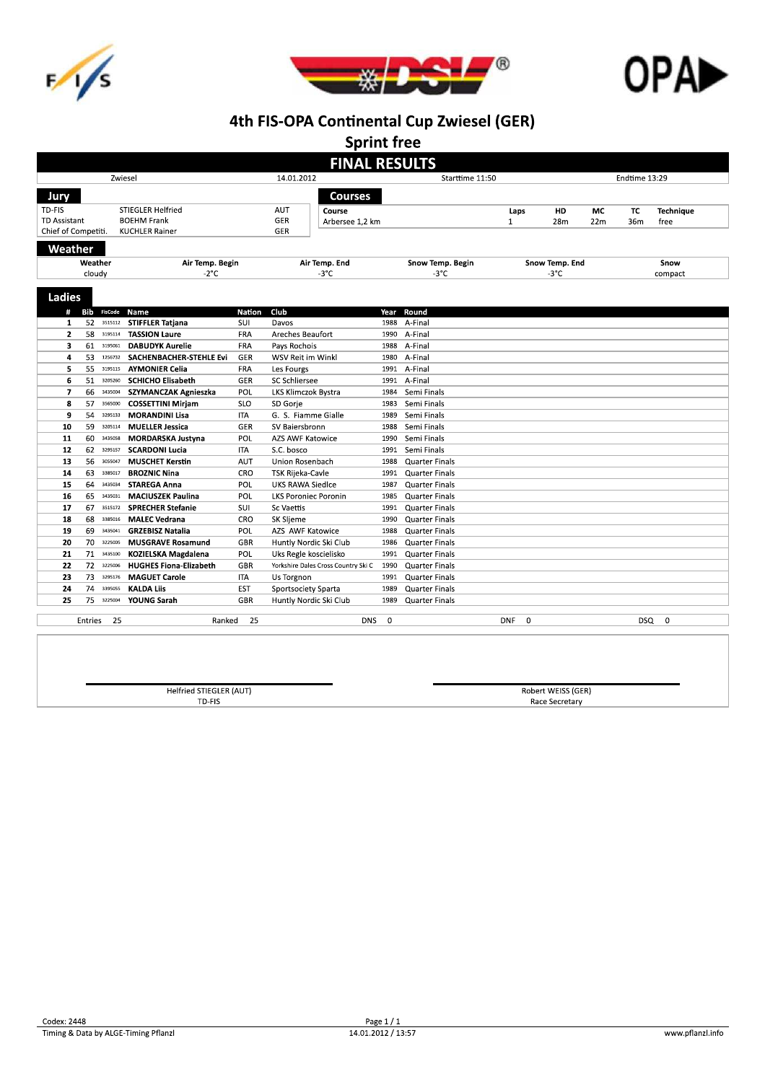





**Sprint free** 

|                            | <b>FINAL RESULTS</b><br>14.01.2012<br>Zwiesel<br>Starttime 11:50<br>Endtime 13:29 |                       |                                                 |            |                                     |              |                       |                        |                |      |       |                  |
|----------------------------|-----------------------------------------------------------------------------------|-----------------------|-------------------------------------------------|------------|-------------------------------------|--------------|-----------------------|------------------------|----------------|------|-------|------------------|
|                            |                                                                                   |                       |                                                 |            |                                     |              |                       |                        |                |      |       |                  |
| Jury                       |                                                                                   |                       |                                                 |            | <b>Courses</b>                      |              |                       |                        |                |      |       |                  |
| TD-FIS                     |                                                                                   |                       | <b>STIEGLER Helfried</b>                        |            | <b>AUT</b><br>Course                |              |                       | Laps                   | HD             | МC   | TC    | <b>Technique</b> |
| <b>TD Assistant</b>        |                                                                                   |                       | <b>BOEHM Frank</b>                              |            | GER<br>Arbersee 1.2 km              |              |                       | $\mathbf{1}$           | 28m            | 22m  | 36m   | free             |
| Chief of Competiti.        |                                                                                   |                       | <b>KUCHLER Rainer</b>                           |            | GER                                 |              |                       |                        |                |      |       |                  |
| Weather                    |                                                                                   |                       |                                                 |            |                                     |              |                       |                        |                |      |       |                  |
| Weather<br>Air Temp. Begin |                                                                                   |                       | Air Temp. End                                   |            | Snow Temp. Begin                    |              | Snow Temp. End        |                        |                | Snow |       |                  |
|                            | cloudy                                                                            |                       | $-2^{\circ}$ C                                  |            | $-3^{\circ}$ C                      |              | -3°C                  |                        | $-3^{\circ}$ C |      |       | compact          |
| <b>Ladies</b>              |                                                                                   |                       |                                                 |            |                                     |              |                       |                        |                |      |       |                  |
| #                          |                                                                                   | <b>Bib</b> FisCode    | Name                                            | Nation     | Club                                | Year         | Round                 |                        |                |      |       |                  |
| 1<br>$\mathbf{2}$          | 58                                                                                | 52 3515112<br>3195114 | <b>STIFFLER Tatjana</b><br><b>TASSION Laure</b> | SUI<br>FRA | Davos<br>Areches Beaufort           | 1988<br>1990 | A-Final<br>A-Final    |                        |                |      |       |                  |
| 3                          | 61                                                                                | 3195061               | <b>DABUDYK Aurelie</b>                          | FRA        | Pays Rochois                        | 1988         | A-Final               |                        |                |      |       |                  |
| 4                          | 53                                                                                | 1256732               | SACHENBACHER-STEHLE Evi                         | GER        | WSV Reit im Winkl                   | 1980         | A-Final               |                        |                |      |       |                  |
| 5                          |                                                                                   | 55 3195115            | <b>AYMONIER Celia</b>                           | <b>FRA</b> | Les Fourgs                          | 1991         | A-Final               |                        |                |      |       |                  |
| 6                          | 51                                                                                | 3205260               | <b>SCHICHO Elisabeth</b>                        | GER        | <b>SC Schliersee</b>                | 1991         | A-Final               |                        |                |      |       |                  |
| 7                          | 66                                                                                | 3435004               | SZYMANCZAK Agnieszka                            | POL        | LKS Klimczok Bystra                 | 1984         | Semi Finals           |                        |                |      |       |                  |
| 8                          | 57                                                                                | 3565000               | <b>COSSETTINI Mirjam</b>                        | <b>SLO</b> | SD Gorje                            | 1983         | Semi Finals           |                        |                |      |       |                  |
| 9                          | 54                                                                                | 3295133               | <b>MORANDINI Lisa</b>                           | ITA        | G. S. Fiamme Gialle                 | 1989         | Semi Finals           |                        |                |      |       |                  |
| 10                         | 59                                                                                | 3205114               | <b>MUELLER Jessica</b>                          | GER        | SV Baiersbronn                      | 1988         | Semi Finals           |                        |                |      |       |                  |
| 11                         | 60                                                                                | 3435058               | <b>MORDARSKA Justyna</b>                        | POL        | AZS AWF Katowice                    | 1990         | Semi Finals           |                        |                |      |       |                  |
| 12                         | 62                                                                                | 3295157               | <b>SCARDONI Lucia</b>                           | <b>ITA</b> | S.C. bosco                          | 1991         | Semi Finals           |                        |                |      |       |                  |
| 13                         | 56                                                                                | 3055047               | <b>MUSCHET Kerstin</b>                          | <b>AUT</b> | Union Rosenbach                     | 1988         | <b>Quarter Finals</b> |                        |                |      |       |                  |
| 14                         | 63                                                                                | 3385017               | <b>BROZNIC Nina</b>                             | CRO        | <b>TSK Rijeka-Cavle</b>             | 1991         | <b>Quarter Finals</b> |                        |                |      |       |                  |
| 15                         | 64                                                                                | 3435034               | <b>STAREGA Anna</b>                             | POL        | <b>UKS RAWA Siedlce</b>             | 1987         | <b>Quarter Finals</b> |                        |                |      |       |                  |
| 16                         | 65                                                                                | 3435031               | <b>MACIUSZEK Paulina</b>                        | POL        | <b>LKS Poroniec Poronin</b>         | 1985         | <b>Quarter Finals</b> |                        |                |      |       |                  |
| 17                         | 67                                                                                | 3515172               | <b>SPRECHER Stefanie</b>                        | SUI        | Sc Vaettis                          | 1991         | <b>Quarter Finals</b> |                        |                |      |       |                  |
| 18                         | 68                                                                                | 3385016               | <b>MALEC Vedrana</b>                            | CRO        | SK Sljeme                           | 1990         | <b>Quarter Finals</b> |                        |                |      |       |                  |
| 19                         | 69                                                                                | 3435041               | <b>GRZEBISZ Natalia</b>                         | POL        | AZS AWF Katowice                    | 1988         | <b>Quarter Finals</b> |                        |                |      |       |                  |
| 20                         |                                                                                   | 70 3225005            | <b>MUSGRAVE Rosamund</b>                        | <b>GBR</b> | Huntly Nordic Ski Club              | 1986         | <b>Quarter Finals</b> |                        |                |      |       |                  |
| 21                         |                                                                                   | 71 3435100            | <b>KOZIELSKA Magdalena</b>                      | POL        | Uks Regle koscielisko               | 1991         | <b>Quarter Finals</b> |                        |                |      |       |                  |
| 22                         |                                                                                   | 72 3225006            | <b>HUGHES Fiona-Elizabeth</b>                   | GBR        | Yorkshire Dales Cross Country Ski C | 1990         | <b>Quarter Finals</b> |                        |                |      |       |                  |
| 23                         | 73                                                                                | 3295176               | <b>MAGUET Carole</b>                            | <b>ITA</b> | Us Torgnon                          | 1991         | <b>Quarter Finals</b> |                        |                |      |       |                  |
| 24                         | 74                                                                                | 3395055               | <b>KALDA Liis</b>                               | <b>EST</b> | Sportsociety Sparta                 | 1989         | Quarter Finals        |                        |                |      |       |                  |
| 25                         | 75                                                                                | 3225004               | YOUNG Sarah                                     | <b>GBR</b> | Huntly Nordic Ski Club              | 1989         | <b>Quarter Finals</b> |                        |                |      |       |                  |
|                            | Entries                                                                           | 25                    | Ranked                                          | 25         | <b>DNS</b>                          | $\Omega$     |                       | <b>DNF</b><br>$\Omega$ |                |      | DSQ 0 |                  |

Helfried STIEGLER (AUT)<br>TD-FIS

Robert WEISS (GER)<br>Race Secretary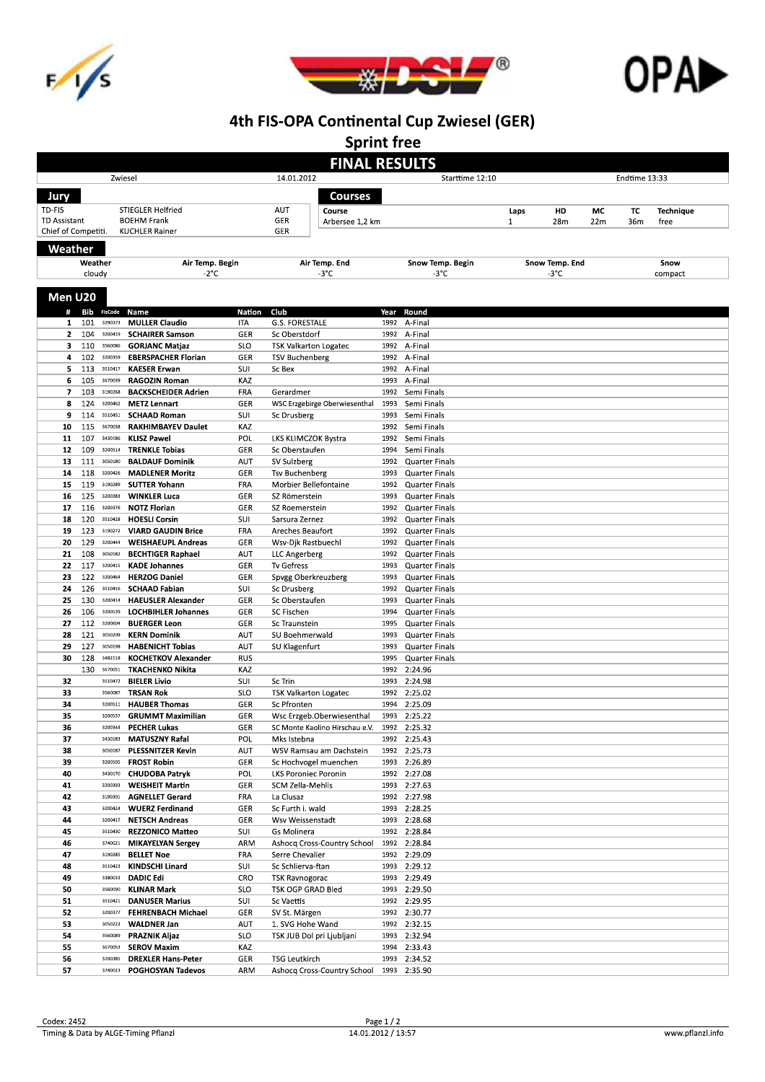





**Sprint free** 

|                     |            |                               |                                                       |                      | <b>FINAL RESULTS</b>                         |                 |                                                |              |                |     |               |                  |  |  |
|---------------------|------------|-------------------------------|-------------------------------------------------------|----------------------|----------------------------------------------|-----------------|------------------------------------------------|--------------|----------------|-----|---------------|------------------|--|--|
| Zwiesel             |            |                               |                                                       |                      | 14.01.2012                                   | Starttime 12:10 |                                                |              |                |     | Endtime 13:33 |                  |  |  |
| Jury                | Courses    |                               |                                                       |                      |                                              |                 |                                                |              |                |     |               |                  |  |  |
| TD-FIS              |            |                               | <b>STIEGLER Helfried</b>                              |                      | AUT<br>Course                                |                 |                                                | Laps         | HD             | МC  | TC            | <b>Technique</b> |  |  |
| <b>TD Assistant</b> |            |                               | <b>BOEHM Frank</b>                                    |                      | GER<br>Arbersee 1.2 km                       |                 |                                                | $\mathbf{1}$ | 28m            | 22m | 36m           | free             |  |  |
| Chief of Competiti. |            |                               | <b>KUCHLER Rainer</b>                                 |                      | GER                                          |                 |                                                |              |                |     |               |                  |  |  |
| Weather             |            |                               |                                                       |                      |                                              |                 |                                                |              |                |     |               |                  |  |  |
|                     | Weather    |                               | Air Temp. Begin                                       |                      | Air Temp. End                                |                 | Snow Temp. Begin                               |              | Snow Temp. End |     |               | Snow             |  |  |
|                     | cloudy     |                               | $-2^{\circ}$ C                                        |                      | $-3^{\circ}$ C                               |                 | -3°C                                           |              | -3°C           |     |               | compact          |  |  |
|                     |            |                               |                                                       |                      |                                              |                 |                                                |              |                |     |               |                  |  |  |
| Men U20             |            |                               |                                                       |                      |                                              |                 |                                                |              |                |     |               |                  |  |  |
| #<br>1              | 101        | <b>Bib</b> FisCode<br>3290373 | Name<br><b>MULLER Claudio</b>                         | <b>Nation</b><br>ITA | Club<br><b>G.S. FORESTALE</b>                | Year<br>1992    | Round<br>A-Final                               |              |                |     |               |                  |  |  |
| 2                   | 104        | 3200419                       | <b>SCHAIRER Samson</b>                                | GER                  | Sc Oberstdorf                                | 1992            | A-Final                                        |              |                |     |               |                  |  |  |
| 3                   |            | 110 3560086                   | <b>GORJANC Matjaz</b>                                 | SLO                  | <b>TSK Valkarton Logatec</b>                 | 1992            | A-Final                                        |              |                |     |               |                  |  |  |
| 4                   | 102        | 3200359                       | <b>EBERSPACHER Florian</b>                            | GER                  | <b>TSV Buchenberg</b>                        | 1992            | A-Final                                        |              |                |     |               |                  |  |  |
| 5                   | 113        | 3510417                       | <b>KAESER Erwan</b>                                   | SUI                  | Sc Bex                                       | 1992            | A-Final                                        |              |                |     |               |                  |  |  |
| 6                   | 105        | 3670039                       | <b>RAGOZIN Roman</b>                                  | KAZ                  |                                              | 1993            | A-Final                                        |              |                |     |               |                  |  |  |
| 7<br>8              | 103<br>124 | 3190268<br>3200462            | <b>BACKSCHEIDER Adrien</b>                            | FRA<br>GER           | Gerardmer                                    | 1992<br>1993    | Semi Finals<br>Semi Finals                     |              |                |     |               |                  |  |  |
| 9                   | 114        | 3510451                       | <b>METZ Lennart</b><br><b>SCHAAD Roman</b>            | SUI                  | WSC Erzgebirge Oberwiesenthal<br>Sc Drusberg | 1993            | Semi Finals                                    |              |                |     |               |                  |  |  |
| 10                  | 115        | 3670038                       | <b>RAKHIMBAYEV Daulet</b>                             | KAZ                  |                                              | 1992            | Semi Finals                                    |              |                |     |               |                  |  |  |
| 11                  | 107        | 3430186                       | <b>KLISZ Pawel</b>                                    | POL                  | LKS KLIMCZOK Bystra                          | 1992            | Semi Finals                                    |              |                |     |               |                  |  |  |
| 12                  | 109        | 3200514                       | <b>TRENKLE Tobias</b>                                 | GER                  | Sc Oberstaufen                               | 1994            | Semi Finals                                    |              |                |     |               |                  |  |  |
| 13                  | 111        | 3050180                       | <b>BALDAUF Dominik</b>                                | <b>AUT</b>           | SV Sulzberg                                  | 1992            | <b>Quarter Finals</b>                          |              |                |     |               |                  |  |  |
| 14                  | 118        | 3200426                       | <b>MADLENER Moritz</b>                                | GER                  | <b>Tsv Buchenberg</b>                        | 1993            | <b>Quarter Finals</b>                          |              |                |     |               |                  |  |  |
| 15<br>16            | 119<br>125 | 3190289<br>3200383            | <b>SUTTER Yohann</b><br><b>WINKLER Luca</b>           | FRA<br>GER           | Morbier Bellefontaine<br>SZ Römerstein       | 1992<br>1993    | <b>Quarter Finals</b><br><b>Quarter Finals</b> |              |                |     |               |                  |  |  |
| 17                  | 116        | 3200376                       | <b>NOTZ Florian</b>                                   | GER                  | SZ Roemerstein                               | 1992            | <b>Quarter Finals</b>                          |              |                |     |               |                  |  |  |
| 18                  | 120        | 3510428                       | <b>HOESLI Corsin</b>                                  | SUI                  | Sarsura Zernez                               | 1992            | <b>Quarter Finals</b>                          |              |                |     |               |                  |  |  |
| 19                  | 123        | 3190272                       | <b>VIARD GAUDIN Brice</b>                             | FRA                  | <b>Areches Beaufort</b>                      | 1992            | <b>Quarter Finals</b>                          |              |                |     |               |                  |  |  |
| 20                  | 129        | 3200444                       | <b>WEISHAEUPL Andreas</b>                             | GER                  | Wsv-Djk Rastbuechl                           | 1992            | <b>Quarter Finals</b>                          |              |                |     |               |                  |  |  |
| 21                  | 108        | 3050182                       | <b>BECHTIGER Raphael</b>                              | AUT                  | LLC Angerberg                                | 1992            | <b>Quarter Finals</b>                          |              |                |     |               |                  |  |  |
| 22                  | 117        | 3200415                       | <b>KADE Johannes</b>                                  | GER                  | Tv Gefress                                   | 1993            | <b>Quarter Finals</b>                          |              |                |     |               |                  |  |  |
| 23<br>24            | 122<br>126 | 3200464<br>3510416            | <b>HERZOG Daniel</b><br><b>SCHAAD Fabian</b>          | GER<br>SUI           | Spvgg Oberkreuzberg<br>Sc Drusberg           | 1993<br>1992    | <b>Quarter Finals</b><br><b>Quarter Finals</b> |              |                |     |               |                  |  |  |
| 25                  | 130        | 3200414                       | <b>HAEUSLER Alexander</b>                             | GER                  | Sc Oberstaufen                               | 1993            | <b>Quarter Finals</b>                          |              |                |     |               |                  |  |  |
| 26                  | 106        | 3200539                       | <b>LOCHBIHLER Johannes</b>                            | GER                  | <b>SC Fischen</b>                            | 1994            | <b>Quarter Finals</b>                          |              |                |     |               |                  |  |  |
| 27                  | 112        | 3200604                       | <b>BUERGER Leon</b>                                   | GER                  | Sc Traunstein                                | 1995            | <b>Quarter Finals</b>                          |              |                |     |               |                  |  |  |
| 28                  | 121        | 3050209                       | <b>KERN Dominik</b>                                   | <b>AUT</b>           | SU Boehmerwald                               | 1993            | <b>Quarter Finals</b>                          |              |                |     |               |                  |  |  |
| 29                  | 127        | 3050198                       | <b>HABENICHT Tobias</b>                               | <b>AUT</b>           | SU Klagenfurt                                | 1993            | <b>Quarter Finals</b>                          |              |                |     |               |                  |  |  |
| 30                  | 128<br>130 | 3482118<br>3670051            | <b>KOCHETKOV Alexander</b><br><b>TKACHENKO Nikita</b> | <b>RUS</b><br>KAZ    |                                              | 1995<br>1992    | <b>Quarter Finals</b><br>2:24.96               |              |                |     |               |                  |  |  |
| 32                  |            | 3510472                       | <b>BIELER Livio</b>                                   | SUI                  | Sc Trin                                      | 1993            | 2:24.98                                        |              |                |     |               |                  |  |  |
| 33                  |            | 3560087                       | <b>TRSAN Rok</b>                                      | SLO                  | <b>TSK Valkarton Logatec</b>                 | 1992            | 2:25.02                                        |              |                |     |               |                  |  |  |
| 34                  |            | 3200511                       | <b>HAUBER Thomas</b>                                  | GER                  | Sc Pfronten                                  | 1994            | 2:25.09                                        |              |                |     |               |                  |  |  |
| 35                  |            | 3200537                       | <b>GRUMMT Maximilian</b>                              | GER                  | Wsc Erzgeb.Oberwiesenthal                    | 1993            | 2:25.22                                        |              |                |     |               |                  |  |  |
| 36                  |            | 3200344                       | <b>PECHER Lukas</b>                                   | GER                  | SC Monte Kaolino Hirschau e.V.               | 1992            | 2:25.32                                        |              |                |     |               |                  |  |  |
| 37<br>38            |            | 3430183<br>3050187            | <b>MATUSZNY Rafal</b><br><b>PLESSNITZER Kevin</b>     | POL<br>AUT           | Mks Istebna<br>WSV Ramsau am Dachstein       | 1992<br>1992    | 2:25.43<br>2:25.73                             |              |                |     |               |                  |  |  |
| 39                  |            | 3200505                       | <b>FROST Robin</b>                                    | GER                  | Sc Hochvogel muenchen                        | 1993            | 2:26.89                                        |              |                |     |               |                  |  |  |
| 40                  |            | 3430170                       | <b>CHUDOBA Patryk</b>                                 | POL                  | <b>LKS Poroniec Poronin</b>                  | 1992            | 2:27.08                                        |              |                |     |               |                  |  |  |
| 41                  |            | 3200393                       | <b>WEISHEIT Martin</b>                                | GER                  | SCM Zella-Mehlis                             | 1993            | 2:27.63                                        |              |                |     |               |                  |  |  |
| 42                  |            | 3190301                       | <b>AGNELLET Gerard</b>                                | FRA                  | La Clusaz                                    | 1992            | 2:27.98                                        |              |                |     |               |                  |  |  |
| 43                  |            | 3200424                       | <b>WUERZ Ferdinand</b>                                | GER                  | Sc Furth i. wald                             | 1993            | 2:28.25                                        |              |                |     |               |                  |  |  |
| 44<br>45            |            | 3200417<br>3510430            | <b>NETSCH Andreas</b><br><b>REZZONICO Matteo</b>      | GER<br>SUI           | Wsv Weissenstadt<br>Gs Molinera              | 1993<br>1992    | 2:28.68<br>2:28.84                             |              |                |     |               |                  |  |  |
| 46                  |            | 3740021                       | <b>MIKAYELYAN Sergey</b>                              | ARM                  | Ashocq Cross-Country School                  | 1992            | 2:28.84                                        |              |                |     |               |                  |  |  |
| 47                  |            | 3190285                       | <b>BELLET Noe</b>                                     | FRA                  | Serre Chevalier                              | 1992            | 2:29.09                                        |              |                |     |               |                  |  |  |
| 48                  |            | 3510423                       | <b>KINDSCHI Linard</b>                                | SUI                  | Sc Schlierva-ftan                            | 1993            | 2:29.12                                        |              |                |     |               |                  |  |  |
| 49                  |            | 3380033                       | <b>DADIC Edi</b>                                      | CRO                  | <b>TSK Ravnogorac</b>                        | 1993            | 2:29.49                                        |              |                |     |               |                  |  |  |
| 50                  |            | 3560090                       | KLINAR Mark                                           | SLO                  | TSK OGP GRAD Bled                            | 1993            | 2:29.50                                        |              |                |     |               |                  |  |  |
| 51<br>52            |            | 3510421<br>3200377            | <b>DANUSER Marius</b><br><b>FEHRENBACH Michael</b>    | SUI<br>GER           | Sc Vaettis<br>SV St. Märgen                  | 1992<br>1992    | 2:29.95<br>2:30.77                             |              |                |     |               |                  |  |  |
| 53                  |            | 3050223                       | <b>WALDNER Jan</b>                                    | AUT                  | 1. SVG Hohe Wand                             | 1992            | 2:32.15                                        |              |                |     |               |                  |  |  |
| 54                  |            | 3560089                       | PRAZNIK Aljaz                                         | SLO                  | TSK JUB Dol pri Ljubljani                    | 1993            | 2:32.94                                        |              |                |     |               |                  |  |  |
| 55                  |            | 3670053                       | <b>SEROV Maxim</b>                                    | KAZ                  |                                              | 1994            | 2:33.43                                        |              |                |     |               |                  |  |  |
| 56                  |            | 3200385                       | <b>DREXLER Hans-Peter</b>                             | GER                  | <b>TSG Leutkirch</b>                         | 1993            | 2:34.52                                        |              |                |     |               |                  |  |  |
| 57                  |            | 3740023                       | <b>POGHOSYAN Tadevos</b>                              | ARM                  | Ashocq Cross-Country School                  |                 | 1993 2:35.90                                   |              |                |     |               |                  |  |  |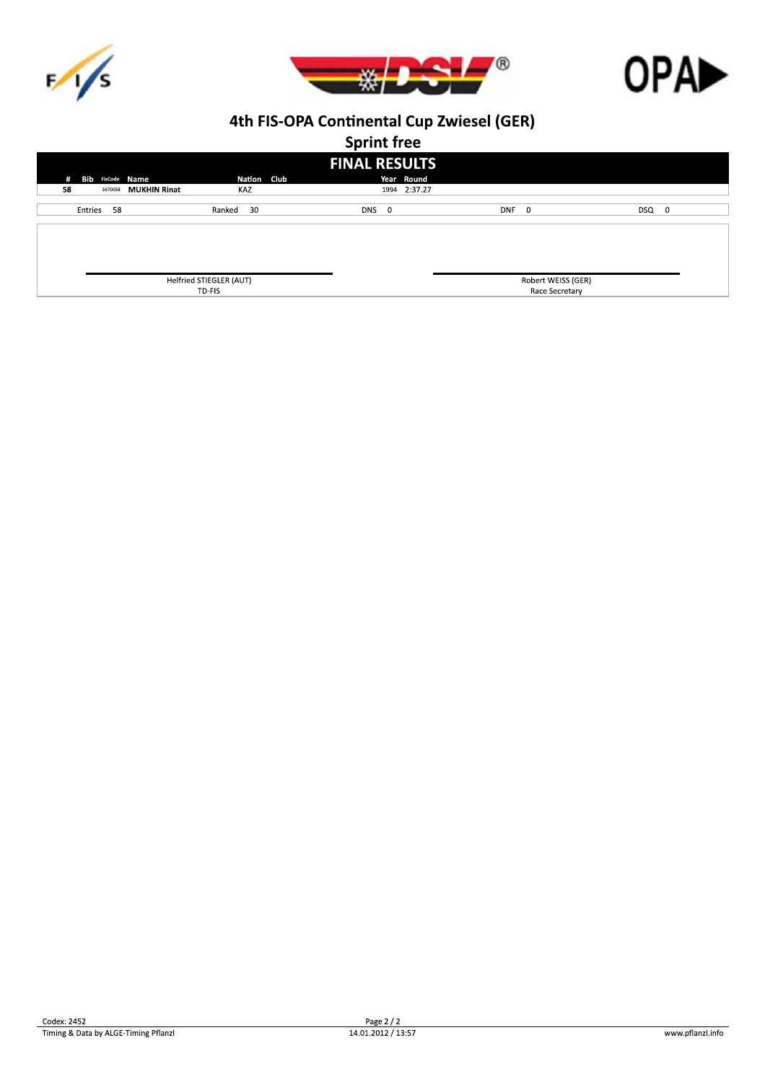





**Sprint free** 

| . .<br><b>FINAL RESULTS</b>  |                         |             |       |              |                    |       |  |  |  |  |
|------------------------------|-------------------------|-------------|-------|--------------|--------------------|-------|--|--|--|--|
| <b>Bib FisCode Name</b><br># |                         | Nation Club |       | Year Round   |                    |       |  |  |  |  |
| 58<br>3670058                | <b>MUKHIN Rinat</b>     | KAZ         |       | 1994 2:37.27 |                    |       |  |  |  |  |
| Entries 58                   | Ranked                  | 30          | DNS 0 | DNF 0        |                    | DSQ 0 |  |  |  |  |
|                              |                         |             |       |              |                    |       |  |  |  |  |
|                              |                         |             |       |              |                    |       |  |  |  |  |
|                              |                         |             |       |              |                    |       |  |  |  |  |
|                              | Helfried STIEGLER (AUT) |             |       |              | Robert WEISS (GER) |       |  |  |  |  |
|                              | TD-FIS                  |             |       |              | Race Secretary     |       |  |  |  |  |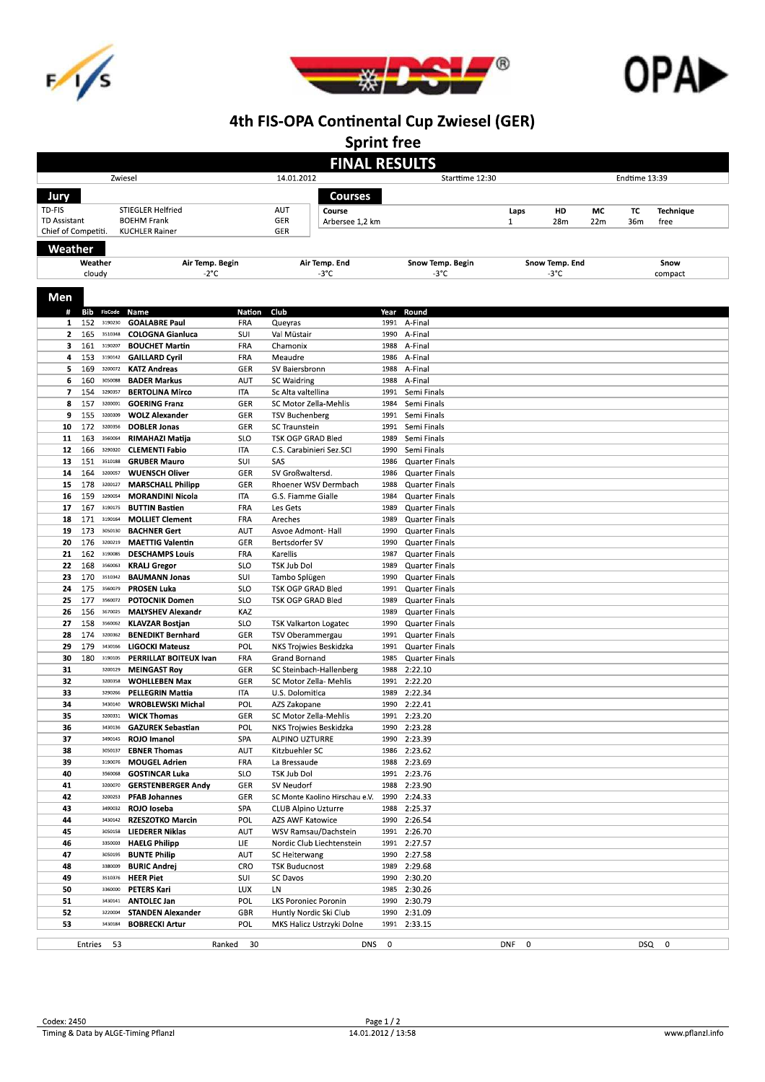





**Sprint free** 

|                     |            |                    |                                                  |                               | <b>FINAL RESULTS</b>                              |              |                                                |               |                |     |     |           |  |  |
|---------------------|------------|--------------------|--------------------------------------------------|-------------------------------|---------------------------------------------------|--------------|------------------------------------------------|---------------|----------------|-----|-----|-----------|--|--|
| Zwiesel             |            |                    |                                                  | 14.01.2012<br>Starttime 12:30 |                                                   |              |                                                | Endtime 13:39 |                |     |     |           |  |  |
| Jury                |            |                    |                                                  |                               | <b>Courses</b>                                    |              |                                                |               |                |     |     |           |  |  |
| TD-FIS              |            |                    | <b>STIEGLER Helfried</b>                         |                               | AUT<br>Course                                     |              |                                                | Laps          | HD             | МC  | TC  | Technique |  |  |
| TD Assistant        |            |                    | <b>BOEHM Frank</b>                               |                               | GER<br>Arbersee 1,2 km                            |              |                                                | $\mathbf{1}$  | 28m            | 22m | 36m | free      |  |  |
| Chief of Competiti. |            |                    | <b>KUCHLER Rainer</b>                            |                               | GER                                               |              |                                                |               |                |     |     |           |  |  |
| Weather             |            |                    |                                                  |                               |                                                   |              |                                                |               |                |     |     |           |  |  |
|                     | Weather    |                    | Air Temp. Begin                                  |                               | Air Temp. End                                     |              | Snow Temp. Begin                               |               | Snow Temp. End |     |     | Snow      |  |  |
|                     | cloudy     |                    | $-2^{\circ}$ C                                   |                               | $-3^{\circ}$ C                                    |              | -3°C                                           |               | -3°C           |     |     | compact   |  |  |
|                     |            |                    |                                                  |                               |                                                   |              |                                                |               |                |     |     |           |  |  |
| Men                 |            |                    |                                                  |                               |                                                   |              |                                                |               |                |     |     |           |  |  |
| #                   |            | <b>Bib</b> FisCode | Name                                             | Nation                        | Club                                              | Year         | Round                                          |               |                |     |     |           |  |  |
| 1                   | 152        | 3190230            | <b>GOALABRE Paul</b>                             | FRA                           | Queyras                                           | 1991         | A-Final                                        |               |                |     |     |           |  |  |
| $\mathbf{z}$<br>з   | 165<br>161 | 3510348<br>3190207 | <b>COLOGNA Gianluca</b><br><b>BOUCHET Martin</b> | SUI<br>FRA                    | Val Müstair<br>Chamonix                           | 1990<br>1988 | A-Final<br>A-Final                             |               |                |     |     |           |  |  |
| 4                   | 153        | 3190142            | <b>GAILLARD Cyril</b>                            | FRA                           | Meaudre                                           | 1986         | A-Final                                        |               |                |     |     |           |  |  |
| 5                   | 169        | 3200072            | KATZ Andreas                                     | GER                           | SV Baiersbronn                                    | 1988         | A-Final                                        |               |                |     |     |           |  |  |
| 6                   | 160        | 3050088            | <b>BADER Markus</b>                              | AUT                           | <b>SC Waidring</b>                                | 1988         | A-Final                                        |               |                |     |     |           |  |  |
| 7                   | 154        | 3290357            | <b>BERTOLINA Mirco</b>                           | ITA                           | Sc Alta valtellina                                | 1991         | Semi Finals                                    |               |                |     |     |           |  |  |
| 8                   | 157        | 3200001            | <b>GOERING Franz</b>                             | GER                           | SC Motor Zella-Mehlis                             | 1984         | Semi Finals                                    |               |                |     |     |           |  |  |
| 9                   | 155        | 3200309            | <b>WOLZ Alexander</b>                            | GER                           | <b>TSV Buchenberg</b>                             | 1991         | Semi Finals                                    |               |                |     |     |           |  |  |
| 10                  | 172        | 3200356            | <b>DOBLER Jonas</b>                              | GER                           | <b>SC Traunstein</b>                              | 1991         | Semi Finals                                    |               |                |     |     |           |  |  |
| 11                  | 163        | 3560064            | RIMAHAZI Matija                                  | <b>SLO</b>                    | TSK OGP GRAD Bled                                 | 1989         | Semi Finals                                    |               |                |     |     |           |  |  |
| 12<br>13            | 166<br>151 | 3290320<br>3510188 | <b>CLEMENTI Fabio</b><br><b>GRUBER Mauro</b>     | ITA<br>SUI                    | C.S. Carabinieri Sez.SCI<br>SAS                   | 1990<br>1986 | Semi Finals                                    |               |                |     |     |           |  |  |
| 14                  | 164        | 3200057            | <b>WUENSCH Oliver</b>                            | GER                           | SV Großwaltersd.                                  | 1986         | <b>Quarter Finals</b><br><b>Quarter Finals</b> |               |                |     |     |           |  |  |
| 15                  | 178        | 3200127            | <b>MARSCHALL Philipp</b>                         | GER                           | Rhoener WSV Dermbach                              | 1988         | <b>Quarter Finals</b>                          |               |                |     |     |           |  |  |
| 16                  | 159        | 3290054            | <b>MORANDINI Nicola</b>                          | ITA                           | G.S. Fiamme Gialle                                | 1984         | <b>Quarter Finals</b>                          |               |                |     |     |           |  |  |
| 17                  | 167        | 3190175            | <b>BUTTIN Bastien</b>                            | FRA                           | Les Gets                                          | 1989         | <b>Quarter Finals</b>                          |               |                |     |     |           |  |  |
| 18                  | 171        | 3190164            | <b>MOLLIET Clement</b>                           | FRA                           | Areches                                           | 1989         | <b>Quarter Finals</b>                          |               |                |     |     |           |  |  |
| 19                  | 173        | 3050130            | <b>BACHNER Gert</b>                              | AUT                           | Asvoe Admont-Hall                                 | 1990         | <b>Quarter Finals</b>                          |               |                |     |     |           |  |  |
| 20                  | 176        | 3200219            | <b>MAETTIG Valentin</b>                          | GER                           | Bertsdorfer SV                                    | 1990         | <b>Quarter Finals</b>                          |               |                |     |     |           |  |  |
| 21                  | 162        | 3190085            | <b>DESCHAMPS Louis</b>                           | FRA                           | Karellis                                          | 1987         | <b>Quarter Finals</b>                          |               |                |     |     |           |  |  |
| 22<br>23            | 168<br>170 | 3560063<br>3510342 | <b>KRALJ Gregor</b><br><b>BAUMANN Jonas</b>      | <b>SLO</b><br>SUI             | TSK Jub Dol                                       | 1989<br>1990 | <b>Quarter Finals</b><br><b>Quarter Finals</b> |               |                |     |     |           |  |  |
| 24                  | 175        | 3560079            | <b>PROSEN Luka</b>                               | <b>SLO</b>                    | Tambo Splügen<br>TSK OGP GRAD Bled                | 1991         | <b>Quarter Finals</b>                          |               |                |     |     |           |  |  |
| 25                  | 177        | 3560072            | <b>POTOCNIK Domen</b>                            | <b>SLO</b>                    | TSK OGP GRAD Bled                                 | 1989         | <b>Quarter Finals</b>                          |               |                |     |     |           |  |  |
| 26                  | 156        | 3670025            | <b>MALYSHEV Alexandr</b>                         | KAZ                           |                                                   | 1989         | <b>Quarter Finals</b>                          |               |                |     |     |           |  |  |
| 27                  | 158        | 3560062            | KLAVZAR Bostjan                                  | <b>SLO</b>                    | <b>TSK Valkarton Logatec</b>                      | 1990         | <b>Quarter Finals</b>                          |               |                |     |     |           |  |  |
| 28                  | 174        | 3200362            | <b>BENEDIKT Bernhard</b>                         | GER                           | TSV Oberammergau                                  | 1991         | <b>Quarter Finals</b>                          |               |                |     |     |           |  |  |
| 29                  | 179        | 3430166            | <b>LIGOCKI Mateusz</b>                           | POL                           | NKS Trojwies Beskidzka                            | 1991         | <b>Quarter Finals</b>                          |               |                |     |     |           |  |  |
| 30<br>31            | 180        | 3190105<br>3200129 | PERRILLAT BOITEUX Ivan                           | FRA                           | Grand Bornand                                     | 1985         | <b>Quarter Finals</b>                          |               |                |     |     |           |  |  |
| 32                  |            | 3200358            | <b>MEINGAST Roy</b><br><b>WOHLLEBEN Max</b>      | GER<br>GER                    | SC Steinbach-Hallenberg<br>SC Motor Zella- Mehlis | 1988<br>1991 | 2:22.10<br>2:22.20                             |               |                |     |     |           |  |  |
| 33                  |            | 3290266            | <b>PELLEGRIN Mattia</b>                          | ITA                           | U.S. Dolomitica                                   | 1989         | 2:22.34                                        |               |                |     |     |           |  |  |
| 34                  |            | 3430140            | WROBLEWSKI Michal                                | POL                           | AZS Zakopane                                      | 1990         | 2:22.41                                        |               |                |     |     |           |  |  |
| 35                  |            | 3200331            | <b>WICK Thomas</b>                               | GER                           | SC Motor Zella-Mehlis                             | 1991         | 2:23.20                                        |               |                |     |     |           |  |  |
| 36                  |            | 3430136            | <b>GAZUREK Sebastian</b>                         | POL                           | <b>NKS Troiwies Beskidzka</b>                     | 1990         | 2:23.28                                        |               |                |     |     |           |  |  |
| 37                  |            | 3490145            | ROJO Imanol                                      | SPA                           | ALPINO UZTURRE                                    |              | 1990 2:23.39                                   |               |                |     |     |           |  |  |
| 38                  |            | 3050137            | <b>EBNER Thomas</b>                              | AUT                           | Kitzbuehler SC                                    | 1986         | 2:23.62                                        |               |                |     |     |           |  |  |
| 39<br>40            |            | 3190076<br>3560068 | <b>MOUGEL Adrien</b><br><b>GOSTINCAR Luka</b>    | FRA<br>SLO                    | La Bressaude<br>TSK Jub Dol                       | 1988<br>1991 | 2:23.69<br>2:23.76                             |               |                |     |     |           |  |  |
| 41                  |            | 3200070            | <b>GERSTENBERGER Andy</b>                        | GER                           | SV Neudorf                                        | 1988         | 2:23.90                                        |               |                |     |     |           |  |  |
| 42                  |            | 3200253            | <b>PFAB Johannes</b>                             | GER                           | SC Monte Kaolino Hirschau e.V.                    | 1990         | 2:24.33                                        |               |                |     |     |           |  |  |
| 43                  |            | 3490032            | ROJO loseba                                      | SPA                           | <b>CLUB Alpino Uzturre</b>                        | 1988         | 2:25.37                                        |               |                |     |     |           |  |  |
| 44                  |            | 3430142            | <b>RZESZOTKO Marcin</b>                          | POL                           | AZS AWF Katowice                                  | 1990         | 2:26.54                                        |               |                |     |     |           |  |  |
| 45                  |            | 3050158            | <b>LIEDERER Niklas</b>                           | AUT                           | WSV Ramsau/Dachstein                              | 1991         | 2:26.70                                        |               |                |     |     |           |  |  |
| 46                  |            | 3350003            | <b>HAELG Philipp</b>                             | ЦE                            | Nordic Club Liechtenstein                         | 1991         | 2:27.57                                        |               |                |     |     |           |  |  |
| 47                  |            | 3050195            | <b>BUNTE Philip</b>                              | AUT                           | SC Heiterwang                                     | 1990         | 2:27.58                                        |               |                |     |     |           |  |  |
| 48<br>49            |            | 3380009<br>3510376 | <b>BURIC Andrej</b><br><b>HEER Piet</b>          | CRO<br>SUI                    | <b>TSK Buducnost</b><br><b>SC Davos</b>           | 1989<br>1990 | 2:29.68<br>2:30.20                             |               |                |     |     |           |  |  |
| 50                  |            | 3360000            | <b>PETERS Kari</b>                               | LUX                           | LN                                                | 1985         | 2:30.26                                        |               |                |     |     |           |  |  |
| 51                  |            | 3430141            | <b>ANTOLEC Jan</b>                               | POL                           | <b>LKS Poroniec Poronin</b>                       | 1990         | 2:30.79                                        |               |                |     |     |           |  |  |
| 52                  |            | 3220004            | <b>STANDEN Alexander</b>                         | GBR                           | Huntly Nordic Ski Club                            | 1990         | 2:31.09                                        |               |                |     |     |           |  |  |
| 53                  |            | 3430184            | <b>BOBRECKI Artur</b>                            | POL                           | MKS Halicz Ustrzyki Dolne                         | 1991         | 2:33.15                                        |               |                |     |     |           |  |  |
|                     |            | Entries 53         |                                                  | Ranked 30                     | DNS 0                                             |              |                                                | DNF 0         |                |     |     | DSQ 0     |  |  |